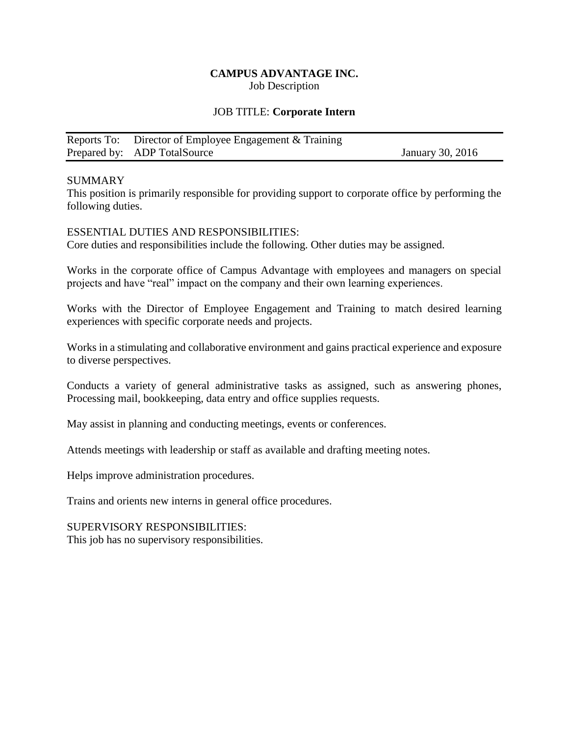### **CAMPUS ADVANTAGE INC.** Job Description

## JOB TITLE: **Corporate Intern**

| Reports To: Director of Employee Engagement & Training |                  |
|--------------------------------------------------------|------------------|
| Prepared by: ADP TotalSource                           | January 30, 2016 |

## SUMMARY

This position is primarily responsible for providing support to corporate office by performing the following duties.

ESSENTIAL DUTIES AND RESPONSIBILITIES:

Core duties and responsibilities include the following. Other duties may be assigned.

Works in the corporate office of Campus Advantage with employees and managers on special projects and have "real" impact on the company and their own learning experiences.

Works with the Director of Employee Engagement and Training to match desired learning experiences with specific corporate needs and projects.

Works in a stimulating and collaborative environment and gains practical experience and exposure to diverse perspectives.

Conducts a variety of general administrative tasks as assigned, such as answering phones, Processing mail, bookkeeping, data entry and office supplies requests.

May assist in planning and conducting meetings, events or conferences.

Attends meetings with leadership or staff as available and drafting meeting notes.

Helps improve administration procedures.

Trains and orients new interns in general office procedures.

SUPERVISORY RESPONSIBILITIES: This job has no supervisory responsibilities.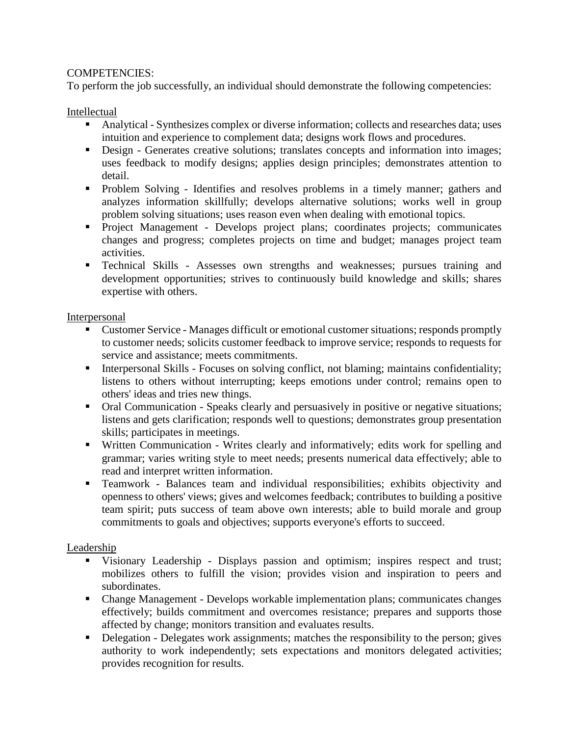## COMPETENCIES:

To perform the job successfully, an individual should demonstrate the following competencies:

# Intellectual

- Analytical Synthesizes complex or diverse information; collects and researches data; uses intuition and experience to complement data; designs work flows and procedures.
- Design Generates creative solutions; translates concepts and information into images; uses feedback to modify designs; applies design principles; demonstrates attention to detail.
- **Problem Solving Identifies and resolves problems in a timely manner; gathers and** analyzes information skillfully; develops alternative solutions; works well in group problem solving situations; uses reason even when dealing with emotional topics.
- Project Management Develops project plans; coordinates projects; communicates changes and progress; completes projects on time and budget; manages project team activities.
- Technical Skills Assesses own strengths and weaknesses; pursues training and development opportunities; strives to continuously build knowledge and skills; shares expertise with others.

## **Interpersonal**

- Customer Service Manages difficult or emotional customer situations; responds promptly to customer needs; solicits customer feedback to improve service; responds to requests for service and assistance; meets commitments.
- Interpersonal Skills Focuses on solving conflict, not blaming; maintains confidentiality; listens to others without interrupting; keeps emotions under control; remains open to others' ideas and tries new things.
- Oral Communication Speaks clearly and persuasively in positive or negative situations; listens and gets clarification; responds well to questions; demonstrates group presentation skills; participates in meetings.
- Written Communication Writes clearly and informatively; edits work for spelling and grammar; varies writing style to meet needs; presents numerical data effectively; able to read and interpret written information.
- Teamwork Balances team and individual responsibilities; exhibits objectivity and openness to others' views; gives and welcomes feedback; contributes to building a positive team spirit; puts success of team above own interests; able to build morale and group commitments to goals and objectives; supports everyone's efforts to succeed.

# Leadership

- Visionary Leadership Displays passion and optimism; inspires respect and trust; mobilizes others to fulfill the vision; provides vision and inspiration to peers and subordinates.
- Change Management Develops workable implementation plans; communicates changes effectively; builds commitment and overcomes resistance; prepares and supports those affected by change; monitors transition and evaluates results.
- Delegation Delegates work assignments; matches the responsibility to the person; gives authority to work independently; sets expectations and monitors delegated activities; provides recognition for results.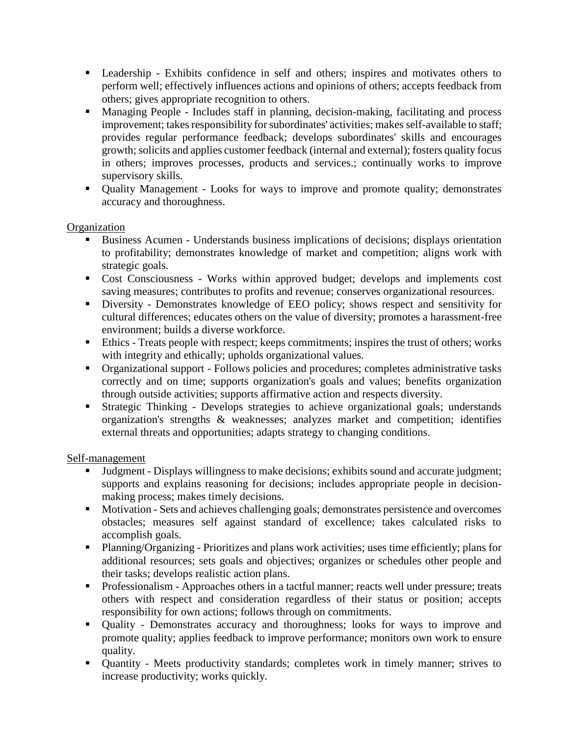- Leadership Exhibits confidence in self and others; inspires and motivates others to perform well; effectively influences actions and opinions of others; accepts feedback from others; gives appropriate recognition to others.
- Managing People Includes staff in planning, decision-making, facilitating and process improvement; takes responsibility for subordinates' activities; makes self-available to staff; provides regular performance feedback; develops subordinates' skills and encourages growth; solicits and applies customer feedback (internal and external); fosters quality focus in others; improves processes, products and services.; continually works to improve supervisory skills.
- Quality Management Looks for ways to improve and promote quality; demonstrates accuracy and thoroughness.

# **Organization**

- Business Acumen Understands business implications of decisions; displays orientation to profitability; demonstrates knowledge of market and competition; aligns work with strategic goals.
- Cost Consciousness Works within approved budget; develops and implements cost saving measures; contributes to profits and revenue; conserves organizational resources.
- Diversity Demonstrates knowledge of EEO policy; shows respect and sensitivity for cultural differences; educates others on the value of diversity; promotes a harassment-free environment; builds a diverse workforce.
- Ethics Treats people with respect; keeps commitments; inspires the trust of others; works with integrity and ethically; upholds organizational values.
- Organizational support Follows policies and procedures; completes administrative tasks correctly and on time; supports organization's goals and values; benefits organization through outside activities; supports affirmative action and respects diversity.
- Strategic Thinking Develops strategies to achieve organizational goals; understands organization's strengths & weaknesses; analyzes market and competition; identifies external threats and opportunities; adapts strategy to changing conditions.

### Self-management

- Judgment Displays willingness to make decisions; exhibits sound and accurate judgment; supports and explains reasoning for decisions; includes appropriate people in decisionmaking process; makes timely decisions.
- Motivation Sets and achieves challenging goals; demonstrates persistence and overcomes obstacles; measures self against standard of excellence; takes calculated risks to accomplish goals.
- Planning/Organizing Prioritizes and plans work activities; uses time efficiently; plans for additional resources; sets goals and objectives; organizes or schedules other people and their tasks; develops realistic action plans.
- **Professionalism Approaches others in a tactful manner; reacts well under pressure; treats** others with respect and consideration regardless of their status or position; accepts responsibility for own actions; follows through on commitments.
- Quality Demonstrates accuracy and thoroughness; looks for ways to improve and promote quality; applies feedback to improve performance; monitors own work to ensure quality.
- Quantity Meets productivity standards; completes work in timely manner; strives to increase productivity; works quickly.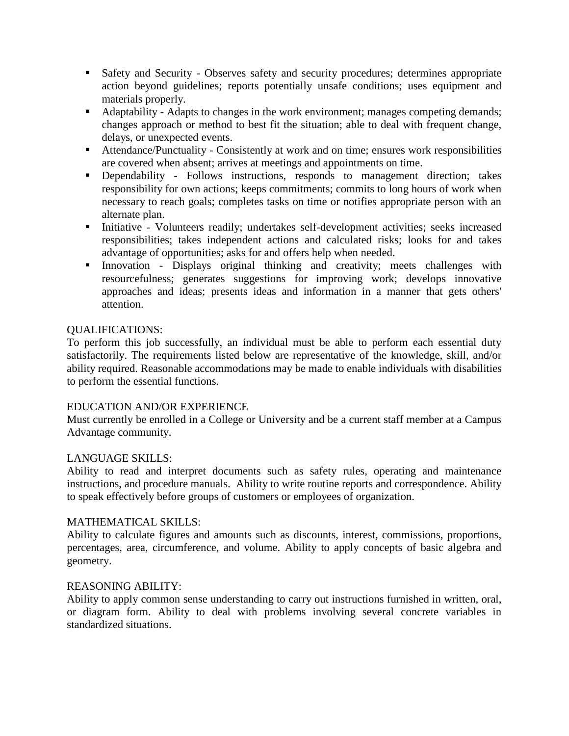- Safety and Security Observes safety and security procedures; determines appropriate action beyond guidelines; reports potentially unsafe conditions; uses equipment and materials properly.
- Adaptability Adapts to changes in the work environment; manages competing demands; changes approach or method to best fit the situation; able to deal with frequent change, delays, or unexpected events.
- Attendance/Punctuality Consistently at work and on time; ensures work responsibilities are covered when absent; arrives at meetings and appointments on time.
- **•** Dependability Follows instructions, responds to management direction; takes responsibility for own actions; keeps commitments; commits to long hours of work when necessary to reach goals; completes tasks on time or notifies appropriate person with an alternate plan.
- Initiative Volunteers readily; undertakes self-development activities; seeks increased responsibilities; takes independent actions and calculated risks; looks for and takes advantage of opportunities; asks for and offers help when needed.
- Innovation Displays original thinking and creativity; meets challenges with resourcefulness; generates suggestions for improving work; develops innovative approaches and ideas; presents ideas and information in a manner that gets others' attention.

# QUALIFICATIONS:

To perform this job successfully, an individual must be able to perform each essential duty satisfactorily. The requirements listed below are representative of the knowledge, skill, and/or ability required. Reasonable accommodations may be made to enable individuals with disabilities to perform the essential functions.

# EDUCATION AND/OR EXPERIENCE

Must currently be enrolled in a College or University and be a current staff member at a Campus Advantage community.

# LANGUAGE SKILLS:

Ability to read and interpret documents such as safety rules, operating and maintenance instructions, and procedure manuals. Ability to write routine reports and correspondence. Ability to speak effectively before groups of customers or employees of organization.

# MATHEMATICAL SKILLS:

Ability to calculate figures and amounts such as discounts, interest, commissions, proportions, percentages, area, circumference, and volume. Ability to apply concepts of basic algebra and geometry.

### REASONING ABILITY:

Ability to apply common sense understanding to carry out instructions furnished in written, oral, or diagram form. Ability to deal with problems involving several concrete variables in standardized situations.